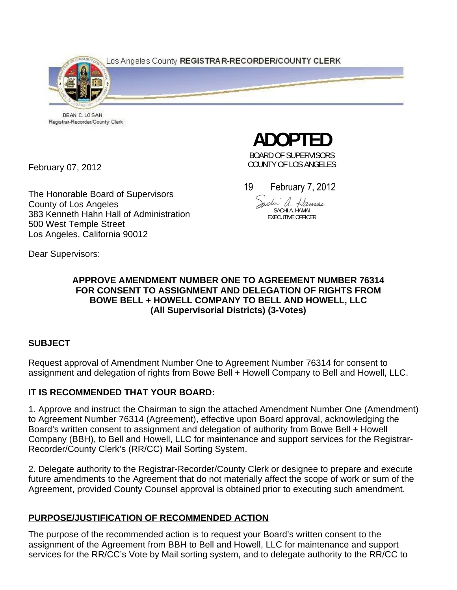Los Angeles County REGISTRAR-RECORDER/COUNTY CLERK



DEAN C. LOGAN Registrar-Recorder/County Clerk

February 07, 2012

The Honorable Board of Supervisors County of Los Angeles 383 Kenneth Hahn Hall of Administration 500 West Temple Street Los Angeles, California 90012

**ADOPTED** 

BOARD OF SUPERVISORS COUNTY OF LOS ANGELES

19 February 7, 2012

Jachi a. Hamai SACHI A. HAMAI EXECUTIVE OFFICER

Dear Supervisors:

#### **APPROVE AMENDMENT NUMBER ONE TO AGREEMENT NUMBER 76314 FOR CONSENT TO ASSIGNMENT AND DELEGATION OF RIGHTS FROM BOWE BELL + HOWELL COMPANY TO BELL AND HOWELL, LLC (All Supervisorial Districts) (3-Votes)**

### **SUBJECT**

Request approval of Amendment Number One to Agreement Number 76314 for consent to assignment and delegation of rights from Bowe Bell + Howell Company to Bell and Howell, LLC.

### **IT IS RECOMMENDED THAT YOUR BOARD:**

1. Approve and instruct the Chairman to sign the attached Amendment Number One (Amendment) to Agreement Number 76314 (Agreement), effective upon Board approval, acknowledging the Board's written consent to assignment and delegation of authority from Bowe Bell + Howell Company (BBH), to Bell and Howell, LLC for maintenance and support services for the Registrar-Recorder/County Clerk's (RR/CC) Mail Sorting System.

2. Delegate authority to the Registrar-Recorder/County Clerk or designee to prepare and execute future amendments to the Agreement that do not materially affect the scope of work or sum of the Agreement, provided County Counsel approval is obtained prior to executing such amendment.

## **PURPOSE/JUSTIFICATION OF RECOMMENDED ACTION**

The purpose of the recommended action is to request your Board's written consent to the assignment of the Agreement from BBH to Bell and Howell, LLC for maintenance and support services for the RR/CC's Vote by Mail sorting system, and to delegate authority to the RR/CC to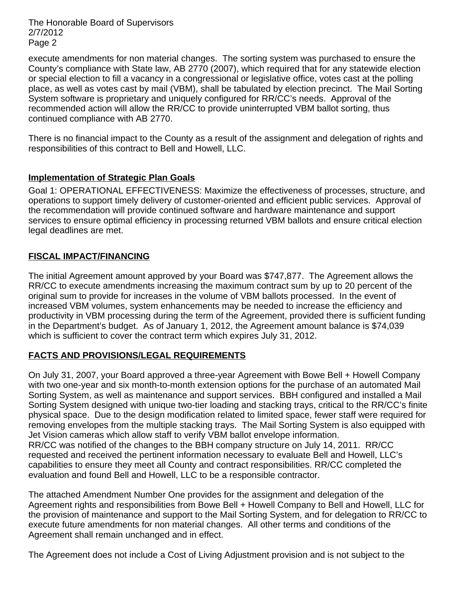The Honorable Board of Supervisors 2/7/2012 Page 2

execute amendments for non material changes. The sorting system was purchased to ensure the County's compliance with State law, AB 2770 (2007), which required that for any statewide election or special election to fill a vacancy in a congressional or legislative office, votes cast at the polling place, as well as votes cast by mail (VBM), shall be tabulated by election precinct. The Mail Sorting System software is proprietary and uniquely configured for RR/CC's needs. Approval of the recommended action will allow the RR/CC to provide uninterrupted VBM ballot sorting, thus continued compliance with AB 2770.

There is no financial impact to the County as a result of the assignment and delegation of rights and responsibilities of this contract to Bell and Howell, LLC.

### **Implementation of Strategic Plan Goals**

Goal 1: OPERATIONAL EFFECTIVENESS: Maximize the effectiveness of processes, structure, and operations to support timely delivery of customer-oriented and efficient public services. Approval of the recommendation will provide continued software and hardware maintenance and support services to ensure optimal efficiency in processing returned VBM ballots and ensure critical election legal deadlines are met.

#### **FISCAL IMPACT/FINANCING**

The initial Agreement amount approved by your Board was \$747,877. The Agreement allows the RR/CC to execute amendments increasing the maximum contract sum by up to 20 percent of the original sum to provide for increases in the volume of VBM ballots processed. In the event of increased VBM volumes, system enhancements may be needed to increase the efficiency and productivity in VBM processing during the term of the Agreement, provided there is sufficient funding in the Department's budget. As of January 1, 2012, the Agreement amount balance is \$74,039 which is sufficient to cover the contract term which expires July 31, 2012.

### **FACTS AND PROVISIONS/LEGAL REQUIREMENTS**

On July 31, 2007, your Board approved a three-year Agreement with Bowe Bell + Howell Company with two one-year and six month-to-month extension options for the purchase of an automated Mail Sorting System, as well as maintenance and support services. BBH configured and installed a Mail Sorting System designed with unique two-tier loading and stacking trays, critical to the RR/CC's finite physical space. Due to the design modification related to limited space, fewer staff were required for removing envelopes from the multiple stacking trays. The Mail Sorting System is also equipped with Jet Vision cameras which allow staff to verify VBM ballot envelope information. RR/CC was notified of the changes to the BBH company structure on July 14, 2011. RR/CC requested and received the pertinent information necessary to evaluate Bell and Howell, LLC's capabilities to ensure they meet all County and contract responsibilities. RR/CC completed the evaluation and found Bell and Howell, LLC to be a responsible contractor.

The attached Amendment Number One provides for the assignment and delegation of the Agreement rights and responsibilities from Bowe Bell + Howell Company to Bell and Howell, LLC for the provision of maintenance and support to the Mail Sorting System, and for delegation to RR/CC to execute future amendments for non material changes. All other terms and conditions of the Agreement shall remain unchanged and in effect.

The Agreement does not include a Cost of Living Adjustment provision and is not subject to the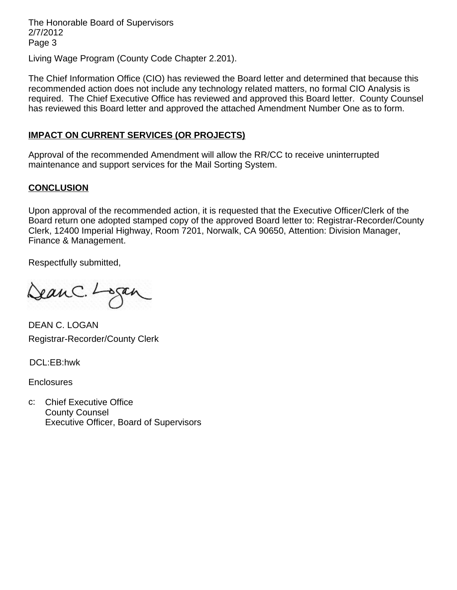The Honorable Board of Supervisors 2/7/2012 Page 3

Living Wage Program (County Code Chapter 2.201).

The Chief Information Office (CIO) has reviewed the Board letter and determined that because this recommended action does not include any technology related matters, no formal CIO Analysis is required. The Chief Executive Office has reviewed and approved this Board letter. County Counsel has reviewed this Board letter and approved the attached Amendment Number One as to form.

#### **IMPACT ON CURRENT SERVICES (OR PROJECTS)**

Approval of the recommended Amendment will allow the RR/CC to receive uninterrupted maintenance and support services for the Mail Sorting System.

#### **CONCLUSION**

Upon approval of the recommended action, it is requested that the Executive Officer/Clerk of the Board return one adopted stamped copy of the approved Board letter to: Registrar-Recorder/County Clerk, 12400 Imperial Highway, Room 7201, Norwalk, CA 90650, Attention: Division Manager, Finance & Management.

Respectfully submitted,

DeanC. Logan

DEAN C. LOGAN Registrar-Recorder/County Clerk

DCL:EB:hwk

**Enclosures** 

c: Chief Executive Office County Counsel Executive Officer, Board of Supervisors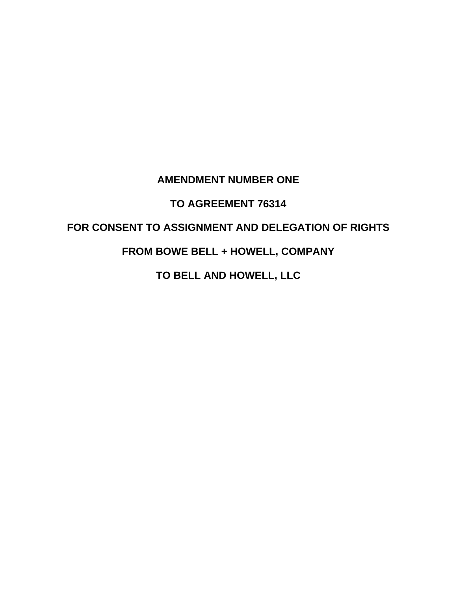## **AMENDMENT NUMBER ONE**

## **TO AGREEMENT 76314**

# **FOR CONSENT TO ASSIGNMENT AND DELEGATION OF RIGHTS**

## **FROM BOWE BELL + HOWELL, COMPANY**

**TO BELL AND HOWELL, LLC**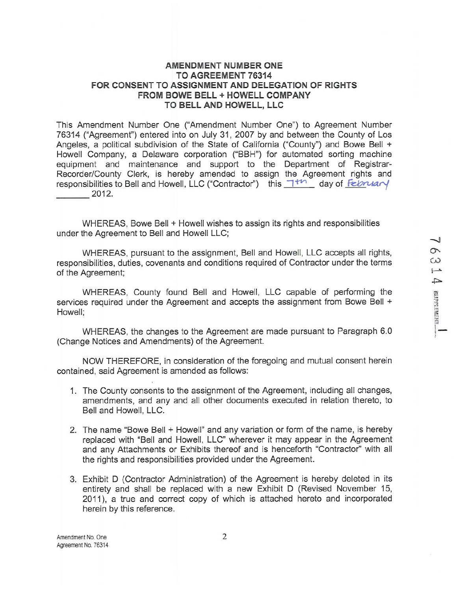#### AMENDMENT NUMBER ONE TO AGREEMENT 76314 FOR CONSENT TO ASSIGNMENT AND DELEGATION OF RIGHTS FROM BOWE BELL + HOWELL COMPANY TO BELL AND HOWELL, LLC

This Amendment Number One ("Amendment Number One") to Agreement Number 76314 ("Agreement") entered into on July 31, 2007 by and between the County of Los Angeles, a political subdivision of the State of California ("County") and Bowe Bell + Howell Company, a Delaware corporation ("BBH") for automated sorting machine equipment and maintenance and support to the Department of Registrar-Recorder/County Clerk, is hereby amended to assign the Agreement rights and responsibilities to Bell and Howell, LLC ("Contractor") this  $\top^{tr}$  day of February  $2012.$ 

WHEREAS, Bowe Bell + Howell wishes to assign its rights and responsibilities under the Agreement to Bell and Howell LLC;

WHEREAS, pursuant to the assignment, Bell and Howell, LLC accepts all rights. responsibilities, duties, covenants and conditions required of Contractor under the terms of the Agreement;

WHEREAS, County found Bell and Howell, LLC capable of performing the services required under the Agreement and accepts the assignment from Bowe Bell + Howell;

WHEREAS, the changes to the Agreement are made pursuant to Paragraph 6.0 (Change Notices and Amendments) of the Agreement.

NOW THEREFORE, in consideration of the foregoing and mutual consent herein contained, said Agreement is amended as follows:

- 1. The County consents to the assignment of the Agreement, including all changes, amendments, and any and all other documents executed in relation thereto, to Bell and Howell, LLC.
- 2. The name "Bowe Bell + Howell" and any variation or form of the name, is hereby replaced with "Bell and Howell, LLC" wherever it may appear in the Agreement and any Attachments or Exhibits thereof and is henceforth "Contractor" with all the rights and responsibilities provided under the Agreement.
- 3. Exhibit D (Contractor Administration) of the Agreement is hereby deleted in its entirety and shall be replaced with a new Exhibit D (Revised November 15, 2011), a true and correct copy of which is attached hereto and incorporated herein by this reference.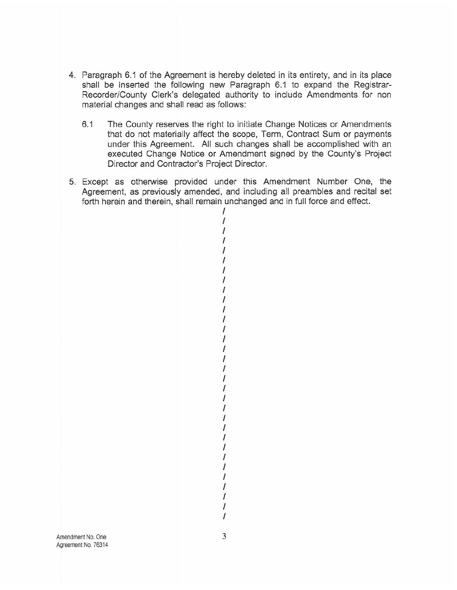- 4. Paragraph 6.1 of the Agreement is hereby deleted in its entirety, and in its place shall be inserted the following new Paragraph 6.1 to expand the Registrar-Recorder/County Clerk's delegated authority to include Amendments for non material changes and shall read as follows:
	- $6.1$ The County reserves the right to initiate Change Notices or Amendments that do not materially affect the scope, Term, Contract Sum or payments under this Agreement. All such changes shall be accomplished with an executed Change Notice or Amendment signed by the County's Project Director and Contractor's Project Director.
- 5. Except as otherwise provided under this Amendment Number One, the Agreement, as previously amended, and including all preambles and recital set forth herein and therein, shall remain unchanged and in full force and effect.

 $\prime$  $\overline{I}$  $\prime$ T  $\overline{I}$  $\overline{I}$  $\prime$  $\prime$ T 1 I I 1 1  $\overline{I}$ I  $\prime$ I 1  $\prime$ I Ī  $\prime$  $\prime$  $\prime$ 1  $\overline{I}$ I  $\prime$  $\prime$ I  $\prime$